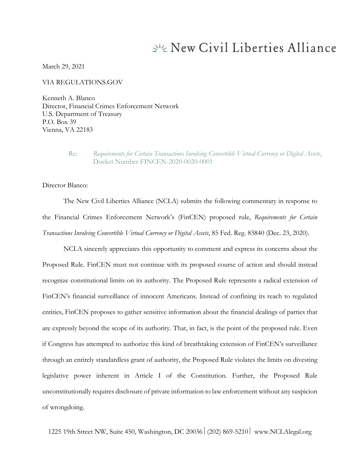# New Civil Liberties Alliance

March 29, 2021

VIA REGULATIONS.GOV

Kenneth A. Blanco Director, Financial Crimes Enforcement Network U.S. Department of Treasury P.O. Box 39 Vienna, VA 22183

#### Re: *Requirements for Certain Transactions Involving Convertible Virtual Currency or Digital Assets*, Docket Number FINCEN-2020-0020-0001

Director Blanco:

The New Civil Liberties Alliance (NCLA) submits the following commentary in response to the Financial Crimes Enforcement Network's (FinCEN) proposed rule, *Requirements for Certain Transactions Involving Convertible Virtual Currency or Digital Assets*, 85 Fed. Reg. 83840 (Dec. 23, 2020).

NCLA sincerely appreciates this opportunity to comment and express its concerns about the Proposed Rule. FinCEN must not continue with its proposed course of action and should instead recognize constitutional limits on its authority. The Proposed Rule represents a radical extension of FinCEN's financial surveillance of innocent Americans. Instead of confining its reach to regulated entities, FinCEN proposes to gather sensitive information about the financial dealings of parties that are expressly beyond the scope of its authority. That, in fact, is the point of the proposed rule. Even if Congress has attempted to authorize this kind of breathtaking extension of FinCEN's surveillance through an entirely standardless grant of authority, the Proposed Rule violates the limits on divesting legislative power inherent in Article I of the Constitution. Further, the Proposed Rule unconstitutionally requires disclosure of private information to law enforcement without any suspicion of wrongdoing.

1225 19th Street NW, Suite 450, Washington, DC 20036 (202) 869-5210 www.NCLAlegal.org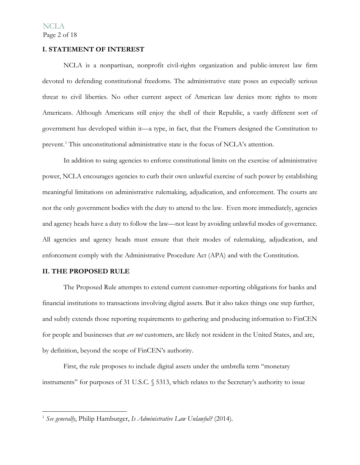#### **I. STATEMENT OF INTEREST**

NCLA is a nonpartisan, nonprofit civil-rights organization and public-interest law firm devoted to defending constitutional freedoms. The administrative state poses an especially serious threat to civil liberties. No other current aspect of American law denies more rights to more Americans. Although Americans still enjoy the shell of their Republic, a vastly different sort of government has developed within it—a type, in fact, that the Framers designed the Constitution to prevent.<sup>[1](#page-1-0)</sup> This unconstitutional administrative state is the focus of NCLA's attention.

In addition to suing agencies to enforce constitutional limits on the exercise of administrative power, NCLA encourages agencies to curb their own unlawful exercise of such power by establishing meaningful limitations on administrative rulemaking, adjudication, and enforcement. The courts are not the only government bodies with the duty to attend to the law. Even more immediately, agencies and agency heads have a duty to follow the law—not least by avoiding unlawful modes of governance. All agencies and agency heads must ensure that their modes of rulemaking, adjudication, and enforcement comply with the Administrative Procedure Act (APA) and with the Constitution.

#### **II. THE PROPOSED RULE**

The Proposed Rule attempts to extend current customer-reporting obligations for banks and financial institutions to transactions involving digital assets. But it also takes things one step further, and subtly extends those reporting requirements to gathering and producing information to FinCEN for people and businesses that *are not* customers, are likely not resident in the United States, and are, by definition, beyond the scope of FinCEN's authority.

First, the rule proposes to include digital assets under the umbrella term "monetary instruments" for purposes of 31 U.S.C. § 5313, which relates to the Secretary's authority to issue

<span id="page-1-0"></span><sup>1</sup> *See generally*, Philip Hamburger, *Is Administrative Law Unlawful?* (2014).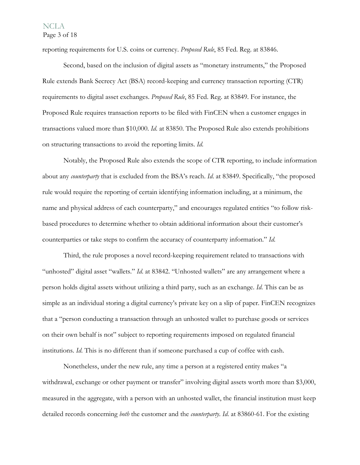reporting requirements for U.S. coins or currency. *Proposed Rule*, 85 Fed. Reg. at 83846.

Second, based on the inclusion of digital assets as "monetary instruments," the Proposed Rule extends Bank Secrecy Act (BSA) record-keeping and currency transaction reporting (CTR) requirements to digital asset exchanges. *Proposed Rule*, 85 Fed. Reg. at 83849. For instance, the Proposed Rule requires transaction reports to be filed with FinCEN when a customer engages in transactions valued more than \$10,000. *Id*. at 83850. The Proposed Rule also extends prohibitions on structuring transactions to avoid the reporting limits. *Id*.

Notably, the Proposed Rule also extends the scope of CTR reporting, to include information about any *counterparty* that is excluded from the BSA's reach. *Id*. at 83849. Specifically, "the proposed rule would require the reporting of certain identifying information including, at a minimum, the name and physical address of each counterparty," and encourages regulated entities "to follow riskbased procedures to determine whether to obtain additional information about their customer's counterparties or take steps to confirm the accuracy of counterparty information." *Id*.

Third, the rule proposes a novel record-keeping requirement related to transactions with "unhosted" digital asset "wallets." *Id*. at 83842. "Unhosted wallets" are any arrangement where a person holds digital assets without utilizing a third party, such as an exchange. *Id*. This can be as simple as an individual storing a digital currency's private key on a slip of paper. FinCEN recognizes that a "person conducting a transaction through an unhosted wallet to purchase goods or services on their own behalf is not" subject to reporting requirements imposed on regulated financial institutions. *Id*. This is no different than if someone purchased a cup of coffee with cash.

Nonetheless, under the new rule, any time a person at a registered entity makes "a withdrawal, exchange or other payment or transfer" involving digital assets worth more than \$3,000, measured in the aggregate, with a person with an unhosted wallet, the financial institution must keep detailed records concerning *both* the customer and the *counterparty*. *Id*. at 83860-61. For the existing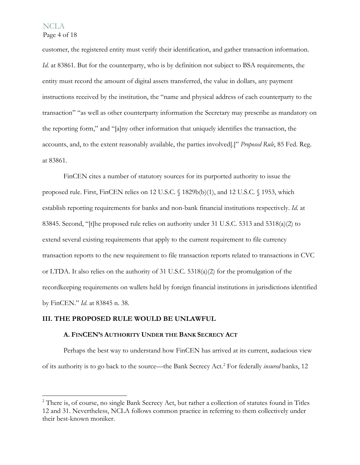Page 4 of 18

customer, the registered entity must verify their identification, and gather transaction information. *Id.* at 83861. But for the counterparty, who is by definition not subject to BSA requirements, the entity must record the amount of digital assets transferred, the value in dollars, any payment instructions received by the institution, the "name and physical address of each counterparty to the transaction" "as well as other counterparty information the Secretary may prescribe as mandatory on the reporting form," and "[a]ny other information that uniquely identifies the transaction, the accounts, and, to the extent reasonably available, the parties involved[.]" *Proposed Rule*, 85 Fed. Reg. at 83861.

FinCEN cites a number of statutory sources for its purported authority to issue the proposed rule. First, FinCEN relies on 12 U.S.C. § 1829b(b)(1), and 12 U.S.C. § 1953, which establish reporting requirements for banks and non-bank financial institutions respectively. *Id*. at 83845. Second, "[t]he proposed rule relies on authority under 31 U.S.C. 5313 and 5318(a)(2) to extend several existing requirements that apply to the current requirement to file currency transaction reports to the new requirement to file transaction reports related to transactions in CVC or LTDA. It also relies on the authority of 31 U.S.C. 5318(a)(2) for the promulgation of the recordkeeping requirements on wallets held by foreign financial institutions in jurisdictions identified by FinCEN." *Id*. at 83845 n. 38.

#### **III. THE PROPOSED RULE WOULD BE UNLAWFUL**

#### **A. FINCEN'S AUTHORITY UNDER THE BANK SECRECY ACT**

Perhaps the best way to understand how FinCEN has arrived at its current, audacious view of its authority is to go back to the source—the Bank Secrecy Act.[2](#page-3-0) For federally *insured* banks, 12

<span id="page-3-0"></span><sup>&</sup>lt;sup>2</sup> There is, of course, no single Bank Secrecy Act, but rather a collection of statutes found in Titles 12 and 31. Nevertheless, NCLA follows common practice in referring to them collectively under their best-known moniker.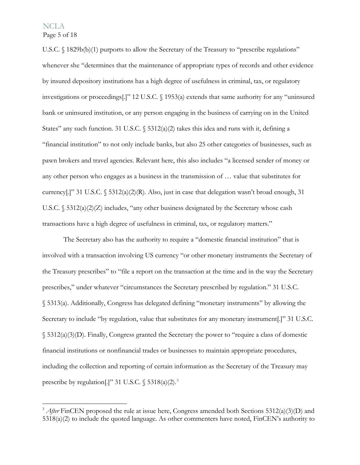Page 5 of 18

U.S.C. § 1829b(b)(1) purports to allow the Secretary of the Treasury to "prescribe regulations" whenever she "determines that the maintenance of appropriate types of records and other evidence by insured depository institutions has a high degree of usefulness in criminal, tax, or regulatory investigations or proceedings[.]" 12 U.S.C. § 1953(a) extends that same authority for any "uninsured bank or uninsured institution, or any person engaging in the business of carrying on in the United States" any such function. 31 U.S.C.  $\frac{5312(a)}{2}$  takes this idea and runs with it, defining a "financial institution" to not only include banks, but also 25 other categories of businesses, such as pawn brokers and travel agencies. Relevant here, this also includes "a licensed sender of money or any other person who engages as a business in the transmission of … value that substitutes for currency[.]" 31 U.S.C. § 5312(a)(2)(R). Also, just in case that delegation wasn't broad enough, 31 U.S.C. § 5312(a)(2)(Z) includes, "any other business designated by the Secretary whose cash transactions have a high degree of usefulness in criminal, tax, or regulatory matters."

The Secretary also has the authority to require a "domestic financial institution" that is involved with a transaction involving US currency "or other monetary instruments the Secretary of the Treasury prescribes" to "file a report on the transaction at the time and in the way the Secretary prescribes," under whatever "circumstances the Secretary prescribed by regulation." 31 U.S.C. § 5313(a). Additionally, Congress has delegated defining "monetary instruments" by allowing the Secretary to include "by regulation, value that substitutes for any monetary instrument[.]" 31 U.S.C. § 5312(a)(3)(D). Finally, Congress granted the Secretary the power to "require a class of domestic financial institutions or nonfinancial trades or businesses to maintain appropriate procedures, including the collection and reporting of certain information as the Secretary of the Treasury may prescribe by regulation[.]" [3](#page-4-0)1 U.S.C.  $\frac{5318(a)(2)^3}{2}$ 

<span id="page-4-0"></span><sup>&</sup>lt;sup>3</sup> *After* FinCEN proposed the rule at issue here, Congress amended both Sections 5312(a)(3)(D) and 5318(a)(2) to include the quoted language. As other commenters have noted, FinCEN's authority to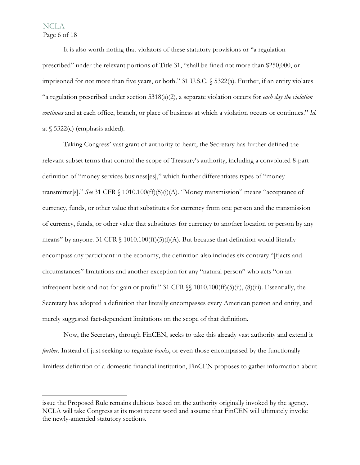### NCLA Page 6 of 18

It is also worth noting that violators of these statutory provisions or "a regulation prescribed" under the relevant portions of Title 31, "shall be fined not more than \$250,000, or imprisoned for not more than five years, or both." 31 U.S.C. § 5322(a). Further, if an entity violates "a regulation prescribed under section 5318(a)(2), a separate violation occurs for *each day the violation continues* and at each office, branch, or place of business at which a violation occurs or continues." *Id*. at  $\S$  5322(c) (emphasis added).

Taking Congress' vast grant of authority to heart, the Secretary has further defined the relevant subset terms that control the scope of Treasury's authority, including a convoluted 8-part definition of "money services business[es]," which further differentiates types of "money transmitter[s]." *See* 31 CFR § 1010.100(ff)(5)(i)(A). "Money transmission" means "acceptance of currency, funds, or other value that substitutes for currency from one person and the transmission of currency, funds, or other value that substitutes for currency to another location or person by any means" by anyone. 31 CFR  $\S$  1010.100(ff)(5)(i)(A). But because that definition would literally encompass any participant in the economy, the definition also includes six contrary "[f]acts and circumstances" limitations and another exception for any "natural person" who acts "on an infrequent basis and not for gain or profit." 31 CFR §§ 1010.100(ff)(5)(ii), (8)(iii). Essentially, the Secretary has adopted a definition that literally encompasses every American person and entity, and merely suggested fact-dependent limitations on the scope of that definition.

Now, the Secretary, through FinCEN, seeks to take this already vast authority and extend it *further*. Instead of just seeking to regulate *banks*, or even those encompassed by the functionally limitless definition of a domestic financial institution, FinCEN proposes to gather information about

issue the Proposed Rule remains dubious based on the authority originally invoked by the agency. NCLA will take Congress at its most recent word and assume that FinCEN will ultimately invoke the newly-amended statutory sections.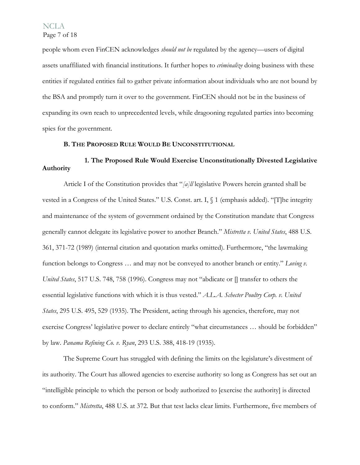people whom even FinCEN acknowledges *should not be* regulated by the agency—users of digital assets unaffiliated with financial institutions. It further hopes to *criminalize* doing business with these entities if regulated entities fail to gather private information about individuals who are not bound by the BSA and promptly turn it over to the government. FinCEN should not be in the business of expanding its own reach to unprecedented levels, while dragooning regulated parties into becoming spies for the government.

#### **B. THE PROPOSED RULE WOULD BE UNCONSTITUTIONAL**

## **1. The Proposed Rule Would Exercise Unconstitutionally Divested Legislative Authority**

Article I of the Constitution provides that "*[a]ll* legislative Powers herein granted shall be vested in a Congress of the United States." U.S. Const. art. I, § 1 (emphasis added). "[T]he integrity and maintenance of the system of government ordained by the Constitution mandate that Congress generally cannot delegate its legislative power to another Branch." *Mistretta v. United States*, 488 U.S. 361, 371-72 (1989) (internal citation and quotation marks omitted). Furthermore, "the lawmaking function belongs to Congress … and may not be conveyed to another branch or entity." *Loving v. United States*, 517 U.S. 748, 758 (1996). Congress may not "abdicate or  $\prod$  transfer to others the essential legislative functions with which it is thus vested." *A.L.A. Schecter Poultry Corp. v. United States*, 295 U.S. 495, 529 (1935). The President, acting through his agencies, therefore, may not exercise Congress' legislative power to declare entirely "what circumstances … should be forbidden" by law. *Panama Refining Co. v. Ryan*, 293 U.S. 388, 418-19 (1935).

The Supreme Court has struggled with defining the limits on the legislature's divestment of its authority. The Court has allowed agencies to exercise authority so long as Congress has set out an "intelligible principle to which the person or body authorized to [exercise the authority] is directed to conform." *Mistretta*, 488 U.S. at 372. But that test lacks clear limits. Furthermore, five members of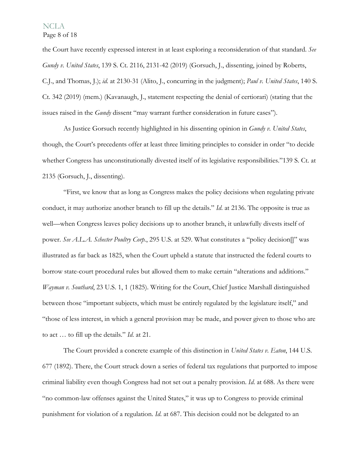Page 8 of 18

the Court have recently expressed interest in at least exploring a reconsideration of that standard. *See Gundy v. United States*, 139 S. Ct. 2116, 2131-42 (2019) (Gorsuch, J., dissenting, joined by Roberts, C.J., and Thomas, J.); *id*. at 2130-31 (Alito, J., concurring in the judgment); *Paul v. United States*, 140 S. Ct. 342 (2019) (mem.) (Kavanaugh, J., statement respecting the denial of certiorari) (stating that the issues raised in the *Gundy* dissent "may warrant further consideration in future cases").

As Justice Gorsuch recently highlighted in his dissenting opinion in *Gundy v. United States*, though, the Court's precedents offer at least three limiting principles to consider in order "to decide whether Congress has unconstitutionally divested itself of its legislative responsibilities."139 S. Ct. at 2135 (Gorsuch, J., dissenting).

"First, we know that as long as Congress makes the policy decisions when regulating private conduct, it may authorize another branch to fill up the details." *Id*. at 2136. The opposite is true as well—when Congress leaves policy decisions up to another branch, it unlawfully divests itself of power. *See A.L.A. Schecter Poultry Corp.*, 295 U.S. at 529. What constitutes a "policy decision[]" was illustrated as far back as 1825, when the Court upheld a statute that instructed the federal courts to borrow state-court procedural rules but allowed them to make certain "alterations and additions." *Wayman v. Southard*, 23 U.S. 1, 1 (1825). Writing for the Court, Chief Justice Marshall distinguished between those "important subjects, which must be entirely regulated by the legislature itself," and "those of less interest, in which a general provision may be made, and power given to those who are to act … to fill up the details." *Id*. at 21.

The Court provided a concrete example of this distinction in *United States v. Eaton*, 144 U.S. 677 (1892). There, the Court struck down a series of federal tax regulations that purported to impose criminal liability even though Congress had not set out a penalty provision. *Id*. at 688. As there were "no common-law offenses against the United States," it was up to Congress to provide criminal punishment for violation of a regulation. *Id*. at 687. This decision could not be delegated to an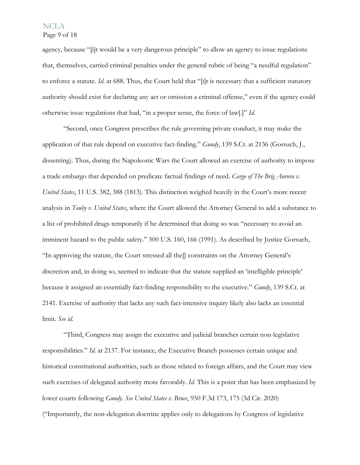### Page 9 of 18

agency, because "[i]t would be a very dangerous principle" to allow an agency to issue regulations that, themselves, carried criminal penalties under the general rubric of being "a needful regulation" to enforce a statute. *Id*. at 688. Thus, the Court held that "[i]t is necessary that a sufficient statutory authority should exist for declaring any act or omission a criminal offense," even if the agency could otherwise issue regulations that had, "in a proper sense, the force of law[.]" *Id*.

"Second, once Congress prescribes the rule governing private conduct, it may make the application of that rule depend on executive fact-finding." *Gundy*, 139 S.Ct. at 2136 (Gorsuch, J., dissenting). Thus, during the Napoleonic Wars the Court allowed an exercise of authority to impose a trade embargo that depended on predicate factual findings of need. *Cargo of The Brig Aurora v. United States*, 11 U.S. 382, 388 (1813). This distinction weighed heavily in the Court's more recent analysis in *Touby v. United States*, where the Court allowed the Attorney General to add a substance to a list of prohibited drugs temporarily if he determined that doing so was "necessary to avoid an imminent hazard to the public safety." 500 U.S. 160, 166 (1991). As described by Justice Gorsuch, "In approving the statute, the Court stressed all the[] constraints on the Attorney General's discretion and, in doing so, seemed to indicate that the statute supplied an 'intelligible principle' because it assigned an essentially fact-finding responsibility to the executive." *Gundy*, 139 S.Ct. at 2141. Exercise of authority that lacks any such fact-intensive inquiry likely also lacks an essential limit. *See id*.

"Third, Congress may assign the executive and judicial branches certain non-legislative responsibilities." *Id*. at 2137. For instance, the Executive Branch possesses certain unique and historical constitutional authorities, such as those related to foreign affairs, and the Court may view such exercises of delegated authority more favorably. *Id*. This is a point that has been emphasized by lower courts following *Gundy*. *See United States v. Bruce*, 950 F.3d 173, 175 (3d Cir. 2020) ("Importantly, the non-delegation doctrine applies only to delegations by Congress of legislative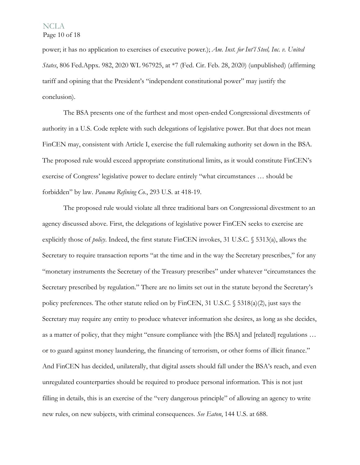power; it has no application to exercises of executive power.); *Am. Inst. for Int'l Steel, Inc. v. United States*, 806 Fed.Appx. 982, 2020 WL 967925, at \*7 (Fed. Cir. Feb. 28, 2020) (unpublished) (affirming tariff and opining that the President's "independent constitutional power" may justify the conclusion).

The BSA presents one of the furthest and most open-ended Congressional divestments of authority in a U.S. Code replete with such delegations of legislative power. But that does not mean FinCEN may, consistent with Article I, exercise the full rulemaking authority set down in the BSA. The proposed rule would exceed appropriate constitutional limits, as it would constitute FinCEN's exercise of Congress' legislative power to declare entirely "what circumstances … should be forbidden" by law. *Panama Refining Co.*, 293 U.S. at 418-19.

The proposed rule would violate all three traditional bars on Congressional divestment to an agency discussed above. First, the delegations of legislative power FinCEN seeks to exercise are explicitly those of *policy*. Indeed, the first statute FinCEN invokes, 31 U.S.C. § 5313(a), allows the Secretary to require transaction reports "at the time and in the way the Secretary prescribes," for any "monetary instruments the Secretary of the Treasury prescribes" under whatever "circumstances the Secretary prescribed by regulation." There are no limits set out in the statute beyond the Secretary's policy preferences. The other statute relied on by FinCEN, 31 U.S.C.  $\sqrt{5318(a/2)}$ , just says the Secretary may require any entity to produce whatever information she desires, as long as she decides, as a matter of policy, that they might "ensure compliance with [the BSA] and [related] regulations … or to guard against money laundering, the financing of terrorism, or other forms of illicit finance." And FinCEN has decided, unilaterally, that digital assets should fall under the BSA's reach, and even unregulated counterparties should be required to produce personal information. This is not just filling in details, this is an exercise of the "very dangerous principle" of allowing an agency to write new rules, on new subjects, with criminal consequences. *See Eaton*, 144 U.S. at 688.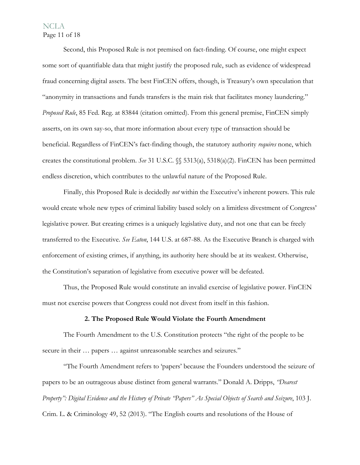# NCLA Page 11 of 18

Second, this Proposed Rule is not premised on fact-finding. Of course, one might expect some sort of quantifiable data that might justify the proposed rule, such as evidence of widespread fraud concerning digital assets. The best FinCEN offers, though, is Treasury's own speculation that "anonymity in transactions and funds transfers is the main risk that facilitates money laundering." *Proposed Rule*, 85 Fed. Reg. at 83844 (citation omitted). From this general premise, FinCEN simply asserts, on its own say-so, that more information about every type of transaction should be beneficial. Regardless of FinCEN's fact-finding though, the statutory authority *requires* none, which creates the constitutional problem. *See* 31 U.S.C. §§ 5313(a), 5318(a)(2). FinCEN has been permitted endless discretion, which contributes to the unlawful nature of the Proposed Rule.

Finally, this Proposed Rule is decidedly *not* within the Executive's inherent powers. This rule would create whole new types of criminal liability based solely on a limitless divestment of Congress' legislative power. But creating crimes is a uniquely legislative duty, and not one that can be freely transferred to the Executive. *See Eaton*, 144 U.S. at 687-88. As the Executive Branch is charged with enforcement of existing crimes, if anything, its authority here should be at its weakest. Otherwise, the Constitution's separation of legislative from executive power will be defeated.

Thus, the Proposed Rule would constitute an invalid exercise of legislative power. FinCEN must not exercise powers that Congress could not divest from itself in this fashion.

#### **2. The Proposed Rule Would Violate the Fourth Amendment**

The Fourth Amendment to the U.S. Constitution protects "the right of the people to be secure in their ... papers ... against unreasonable searches and seizures."

"The Fourth Amendment refers to 'papers' because the Founders understood the seizure of papers to be an outrageous abuse distinct from general warrants." Donald A. Dripps, *"Dearest Property": Digital Evidence and the History of Private "Papers" As Special Objects of Search and Seizure*, 103 J. Crim. L. & Criminology 49, 52 (2013). "The English courts and resolutions of the House of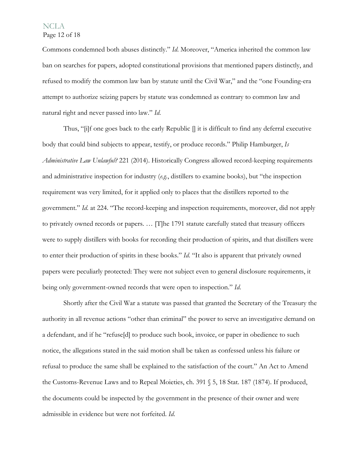Page 12 of 18

Commons condemned both abuses distinctly." *Id*. Moreover, "America inherited the common law ban on searches for papers, adopted constitutional provisions that mentioned papers distinctly, and refused to modify the common law ban by statute until the Civil War," and the "one Founding-era attempt to authorize seizing papers by statute was condemned as contrary to common law and natural right and never passed into law." *Id*.

Thus, " $[i]$ f one goes back to the early Republic  $[i]$  it is difficult to find any deferral executive body that could bind subjects to appear, testify, or produce records." Philip Hamburger, *Is Administrative Law Unlawful?* 221 (2014). Historically Congress allowed record-keeping requirements and administrative inspection for industry (*e.g.*, distillers to examine books), but "the inspection requirement was very limited, for it applied only to places that the distillers reported to the government." *Id*. at 224. "The record-keeping and inspection requirements, moreover, did not apply to privately owned records or papers. … [T]he 1791 statute carefully stated that treasury officers were to supply distillers with books for recording their production of spirits, and that distillers were to enter their production of spirits in these books." *Id*. "It also is apparent that privately owned papers were peculiarly protected: They were not subject even to general disclosure requirements, it being only government-owned records that were open to inspection." *Id*.

Shortly after the Civil War a statute was passed that granted the Secretary of the Treasury the authority in all revenue actions "other than criminal" the power to serve an investigative demand on a defendant, and if he "refuse[d] to produce such book, invoice, or paper in obedience to such notice, the allegations stated in the said motion shall be taken as confessed unless his failure or refusal to produce the same shall be explained to the satisfaction of the court." An Act to Amend the Customs-Revenue Laws and to Repeal Moieties, ch. 391 § 5, 18 Stat. 187 (1874). If produced, the documents could be inspected by the government in the presence of their owner and were admissible in evidence but were not forfeited. *Id*.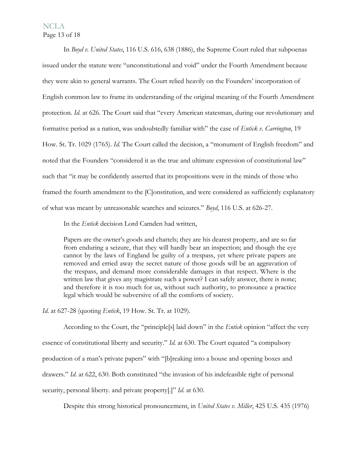#### NCLA Page 13 of 18

In *Boyd v. United States*, 116 U.S. 616, 638 (1886), the Supreme Court ruled that subpoenas issued under the statute were "unconstitutional and void" under the Fourth Amendment because they were akin to general warrants. The Court relied heavily on the Founders' incorporation of English common law to frame its understanding of the original meaning of the Fourth Amendment protection. *Id*. at 626. The Court said that "every American statesman, during our revolutionary and formative period as a nation, was undoubtedly familiar with" the case of *Entick v. Carrington*, 19 How. St. Tr. 1029 (1765). *Id*. The Court called the decision, a "monument of English freedom" and noted that the Founders "considered it as the true and ultimate expression of constitutional law" such that "it may be confidently asserted that its propositions were in the minds of those who framed the fourth amendment to the [C]onstitution, and were considered as sufficiently explanatory of what was meant by unreasonable searches and seizures." *Boyd*, 116 U.S. at 626-27.

In the *Entick* decision Lord Camden had written,

Papers are the owner's goods and chattels; they are his dearest property, and are so far from enduring a seizure, that they will hardly bear an inspection; and though the eye cannot by the laws of England be guilty of a trespass, yet where private papers are removed and erried away the secret nature of those goods will be an aggravation of the trespass, and demand more considerable damages in that respect. Where is the written law that gives any magistrate such a power? I can safely answer, there is none; and therefore it is too much for us, without such authority, to pronounce a practice legal which would be subversive of all the comforts of society.

*Id*. at 627-28 (quoting *Entick*, 19 How. St. Tr. at 1029).

 According to the Court, the "principle[s] laid down" in the *Entick* opinion "affect the very essence of constitutional liberty and security." *Id*. at 630. The Court equated "a compulsory production of a man's private papers" with "[b]reaking into a house and opening boxes and drawers." *Id*. at 622, 630. Both constituted "the invasion of his indefeasible right of personal security, personal liberty. and private property[.]" *Id*. at 630.

Despite this strong historical pronouncement, in *United States v. Miller*, 425 U.S. 435 (1976)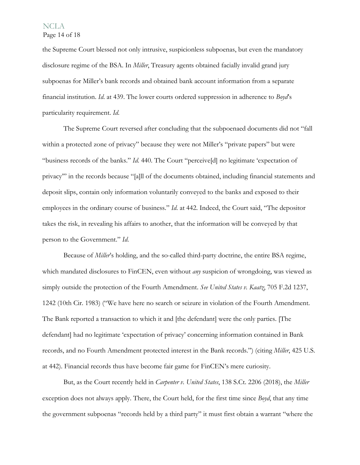Page 14 of 18

the Supreme Court blessed not only intrusive, suspicionless subpoenas, but even the mandatory disclosure regime of the BSA. In *Miller*, Treasury agents obtained facially invalid grand jury subpoenas for Miller's bank records and obtained bank account information from a separate financial institution. *Id*. at 439. The lower courts ordered suppression in adherence to *Boyd*'s particularity requirement. *Id*.

 The Supreme Court reversed after concluding that the subpoenaed documents did not "fall within a protected zone of privacy" because they were not Miller's "private papers" but were "business records of the banks." *Id*. 440. The Court "perceive[d] no legitimate 'expectation of privacy'" in the records because "[a]ll of the documents obtained, including financial statements and deposit slips, contain only information voluntarily conveyed to the banks and exposed to their employees in the ordinary course of business." *Id*. at 442. Indeed, the Court said, "The depositor takes the risk, in revealing his affairs to another, that the information will be conveyed by that person to the Government." *Id*.

Because of *Miller*'s holding, and the so-called third-party doctrine, the entire BSA regime, which mandated disclosures to FinCEN, even without *any* suspicion of wrongdoing, was viewed as simply outside the protection of the Fourth Amendment. *See United States v. Kaatz*, 705 F.2d 1237, 1242 (10th Cir. 1983) ("We have here no search or seizure in violation of the Fourth Amendment. The Bank reported a transaction to which it and [the defendant] were the only parties. [The defendant] had no legitimate 'expectation of privacy' concerning information contained in Bank records, and no Fourth Amendment protected interest in the Bank records.") (citing *Miller*, 425 U.S. at 442). Financial records thus have become fair game for FinCEN's mere curiosity.

But, as the Court recently held in *Carpenter v. United States*, 138 S.Ct. 2206 (2018), the *Miller* exception does not always apply. There, the Court held, for the first time since *Boyd*, that any time the government subpoenas "records held by a third party" it must first obtain a warrant "where the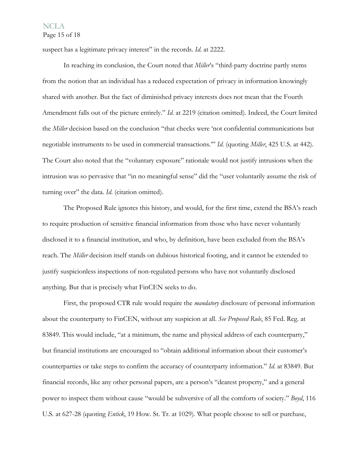#### **NCLA** Page 15 of 18

suspect has a legitimate privacy interest" in the records. *Id*. at 2222.

 In reaching its conclusion, the Court noted that *Miller*'s "third-party doctrine partly stems from the notion that an individual has a reduced expectation of privacy in information knowingly shared with another. But the fact of diminished privacy interests does not mean that the Fourth Amendment falls out of the picture entirely." *Id*. at 2219 (citation omitted). Indeed, the Court limited the *Miller* decision based on the conclusion "that checks were 'not confidential communications but negotiable instruments to be used in commercial transactions.'" *Id*. (quoting *Miller*, 425 U.S. at 442). The Court also noted that the "voluntary exposure" rationale would not justify intrusions when the intrusion was so pervasive that "in no meaningful sense" did the "user voluntarily assume the risk of turning over" the data. *Id*. (citation omitted).

 The Proposed Rule ignores this history, and would, for the first time, extend the BSA's reach to require production of sensitive financial information from those who have never voluntarily disclosed it to a financial institution, and who, by definition, have been excluded from the BSA's reach. The *Miller* decision itself stands on dubious historical footing, and it cannot be extended to justify suspicionless inspections of non-regulated persons who have not voluntarily disclosed anything. But that is precisely what FinCEN seeks to do.

First, the proposed CTR rule would require the *mandatory* disclosure of personal information about the counterparty to FinCEN, without any suspicion at all. *See Proposed Rule*, 85 Fed. Reg. at 83849. This would include, "at a minimum, the name and physical address of each counterparty," but financial institutions are encouraged to "obtain additional information about their customer's counterparties or take steps to confirm the accuracy of counterparty information." *Id*. at 83849. But financial records, like any other personal papers, are a person's "dearest property," and a general power to inspect them without cause "would be subversive of all the comforts of society." *Boyd*, 116 U.S. at 627-28 (quoting *Entick*, 19 How. St. Tr. at 1029). What people choose to sell or purchase,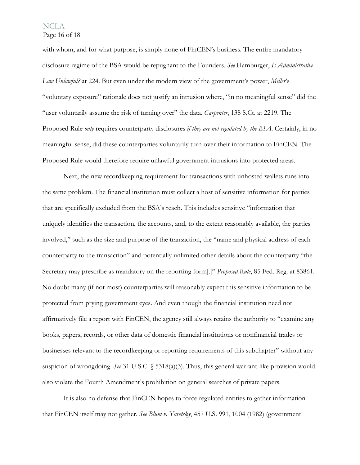Page 16 of 18

with whom, and for what purpose, is simply none of FinCEN's business. The entire mandatory disclosure regime of the BSA would be repugnant to the Founders. *See* Hamburger, *Is Administrative Law Unlawful?* at 224. But even under the modern view of the government's power, *Miller*'s "voluntary exposure" rationale does not justify an intrusion where, "in no meaningful sense" did the "user voluntarily assume the risk of turning over" the data. *Carpenter*, 138 S.Ct. at 2219. The Proposed Rule *only* requires counterparty disclosures *if they are not regulated by the BSA*. Certainly, in no meaningful sense, did these counterparties voluntarily turn over their information to FinCEN. The Proposed Rule would therefore require unlawful government intrusions into protected areas.

Next, the new recordkeeping requirement for transactions with unhosted wallets runs into the same problem. The financial institution must collect a host of sensitive information for parties that are specifically excluded from the BSA's reach. This includes sensitive "information that uniquely identifies the transaction, the accounts, and, to the extent reasonably available, the parties involved," such as the size and purpose of the transaction, the "name and physical address of each counterparty to the transaction" and potentially unlimited other details about the counterparty "the Secretary may prescribe as mandatory on the reporting form[.]" *Proposed Rule*, 85 Fed. Reg. at 83861. No doubt many (if not most) counterparties will reasonably expect this sensitive information to be protected from prying government eyes. And even though the financial institution need not affirmatively file a report with FinCEN, the agency still always retains the authority to "examine any books, papers, records, or other data of domestic financial institutions or nonfinancial trades or businesses relevant to the recordkeeping or reporting requirements of this subchapter" without any suspicion of wrongdoing. *See* 31 U.S.C. § 5318(a)(3). Thus, this general warrant-like provision would also violate the Fourth Amendment's prohibition on general searches of private papers.

It is also no defense that FinCEN hopes to force regulated entities to gather information that FinCEN itself may not gather. *See Blum v. Yaretsky*, 457 U.S. 991, 1004 (1982) (government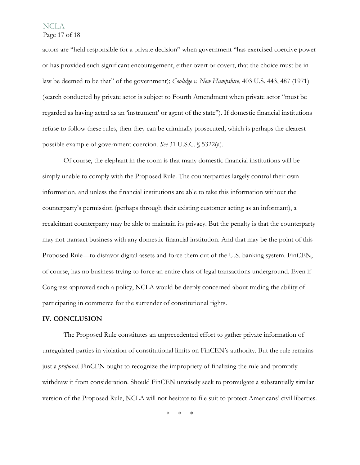Page 17 of 18

actors are "held responsible for a private decision" when government "has exercised coercive power or has provided such significant encouragement, either overt or covert, that the choice must be in law be deemed to be that" of the government); *Coolidge v. New Hampshire*, 403 U.S. 443, 487 (1971) (search conducted by private actor is subject to Fourth Amendment when private actor "must be regarded as having acted as an 'instrument' or agent of the state"). If domestic financial institutions refuse to follow these rules, then they can be criminally prosecuted, which is perhaps the clearest possible example of government coercion. *See* 31 U.S.C. § 5322(a).

Of course, the elephant in the room is that many domestic financial institutions will be simply unable to comply with the Proposed Rule. The counterparties largely control their own information, and unless the financial institutions are able to take this information without the counterparty's permission (perhaps through their existing customer acting as an informant), a recalcitrant counterparty may be able to maintain its privacy. But the penalty is that the counterparty may not transact business with any domestic financial institution. And that may be the point of this Proposed Rule—to disfavor digital assets and force them out of the U.S. banking system. FinCEN, of course, has no business trying to force an entire class of legal transactions underground. Even if Congress approved such a policy, NCLA would be deeply concerned about trading the ability of participating in commerce for the surrender of constitutional rights.

#### **IV. CONCLUSION**

The Proposed Rule constitutes an unprecedented effort to gather private information of unregulated parties in violation of constitutional limits on FinCEN's authority. But the rule remains just a *proposal*. FinCEN ought to recognize the impropriety of finalizing the rule and promptly withdraw it from consideration. Should FinCEN unwisely seek to promulgate a substantially similar version of the Proposed Rule, NCLA will not hesitate to file suit to protect Americans' civil liberties.

\* \* \*